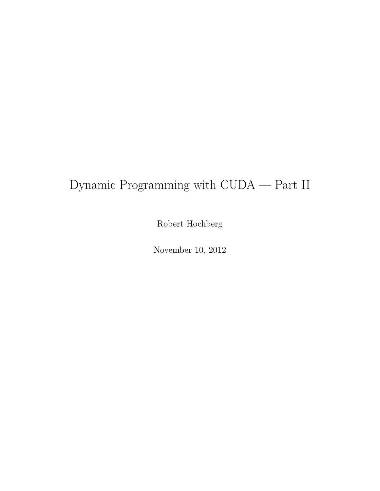## Dynamic Programming with CUDA — Part II

Robert Hochberg

November 10, 2012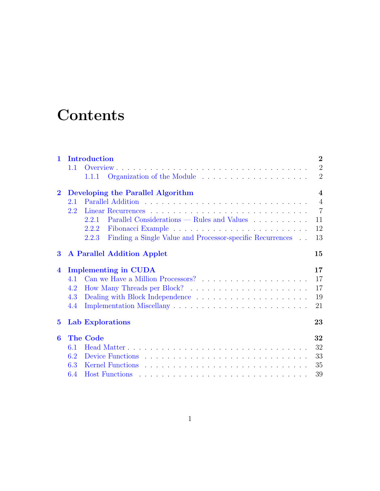# **Contents**

| $\mathbf{1}$ |     | Introduction                                                       | $\overline{2}$ |
|--------------|-----|--------------------------------------------------------------------|----------------|
|              | 1.1 |                                                                    | $\overline{2}$ |
|              |     | 1.1.1                                                              | $\overline{2}$ |
| $\mathbf{2}$ |     | Developing the Parallel Algorithm                                  | $\overline{4}$ |
|              | 2.1 |                                                                    | $\overline{4}$ |
|              | 2.2 |                                                                    | $\overline{7}$ |
|              |     | Parallel Considerations — Rules and Values<br>2.2.1                | 11             |
|              |     | 2.2.2                                                              | 12             |
|              |     | Finding a Single Value and Processor-specific Recurrences<br>2.2.3 | 13             |
| $\bf{3}$     |     | <b>A Parallel Addition Applet</b>                                  | 15             |
| 4            |     | <b>Implementing in CUDA</b>                                        | 17             |
|              | 4.1 |                                                                    | 17             |
|              | 4.2 |                                                                    | 17             |
|              | 4.3 |                                                                    | 19             |
|              | 4.4 |                                                                    | 21             |
| $5^{\circ}$  |     | <b>Lab Explorations</b>                                            | 23             |
| 6            |     | <b>The Code</b>                                                    | 32             |
|              | 6.1 |                                                                    | 32             |
|              | 6.2 |                                                                    | 33             |
|              | 6.3 |                                                                    | 35             |
|              | 6.4 |                                                                    | 39             |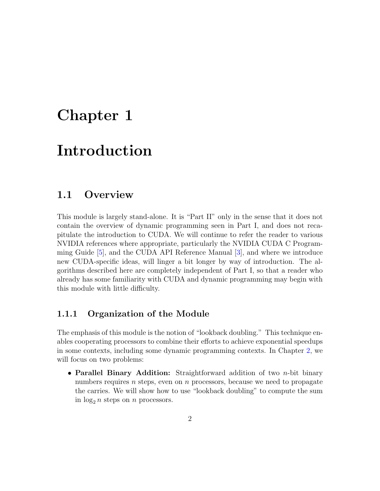### <span id="page-2-0"></span>Chapter 1

# Introduction

#### <span id="page-2-1"></span>1.1 Overview

This module is largely stand-alone. It is "Part II" only in the sense that it does not contain the overview of dynamic programming seen in Part I, and does not recapitulate the introduction to CUDA. We will continue to refer the reader to various NVIDIA references where appropriate, particularly the NVIDIA CUDA C Programming Guide [\[5\]](#page-42-0), and the CUDA API Reference Manual [\[3\]](#page-42-1), and where we introduce new CUDA-specific ideas, will linger a bit longer by way of introduction. The algorithms described here are completely independent of Part I, so that a reader who already has some familiarity with CUDA and dynamic programming may begin with this module with little difficulty.

#### <span id="page-2-2"></span>1.1.1 Organization of the Module

The emphasis of this module is the notion of "lookback doubling." This technique enables cooperating processors to combine their efforts to achieve exponential speedups in some contexts, including some dynamic programming contexts. In Chapter [2,](#page-4-0) we will focus on two problems:

• Parallel Binary Addition: Straightforward addition of two *n*-bit binary numbers requires  $n$  steps, even on  $n$  processors, because we need to propagate the carries. We will show how to use "lookback doubling" to compute the sum in  $\log_2 n$  steps on n processors.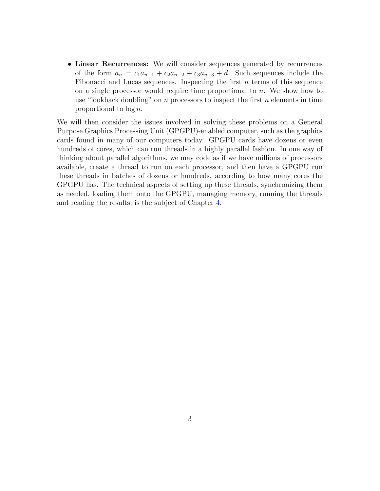• Linear Recurrences: We will consider sequences generated by recurrences of the form  $a_n = c_1 a_{n-1} + c_2 a_{n-2} + c_3 a_{n-3} + d$ . Such sequences include the Fibonacci and Lucas sequences. Inspecting the first  $n$  terms of this sequence on a single processor would require time proportional to  $n$ . We show how to use "lookback doubling" on n processors to inspect the first n elements in time proportional to log n.

We will then consider the issues involved in solving these problems on a General Purpose Graphics Processing Unit (GPGPU)-enabled computer, such as the graphics cards found in many of our computers today. GPGPU cards have dozens or even hundreds of cores, which can run threads in a highly parallel fashion. In one way of thinking about parallel algorithms, we may code as if we have millions of processors available, create a thread to run on each processor, and then have a GPGPU run these threads in batches of dozens or hundreds, according to how many cores the GPGPU has. The technical aspects of setting up these threads, synchronizing them as needed, loading them onto the GPGPU, managing memory, running the threads and reading the results, is the subject of Chapter [4.](#page-17-0)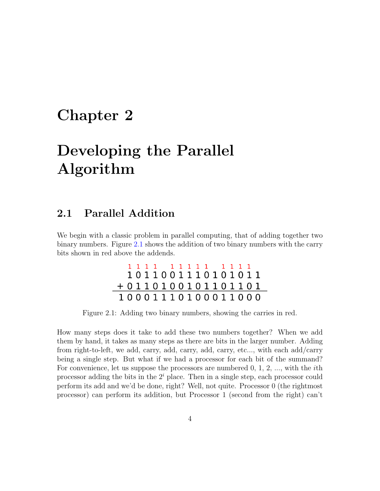### <span id="page-4-0"></span>Chapter 2

# Developing the Parallel Algorithm

### <span id="page-4-1"></span>2.1 Parallel Addition

We begin with a classic problem in parallel computing, that of adding together two binary numbers. Figure [2.1](#page-4-2) shows the addition of two binary numbers with the carry bits shown in red above the addends.

|                     | 1111 11111 1111  |  |  |  |  |  |  |  |
|---------------------|------------------|--|--|--|--|--|--|--|
|                     | 1011001110101011 |  |  |  |  |  |  |  |
| $+0110100101101101$ |                  |  |  |  |  |  |  |  |
| 10001110100011000   |                  |  |  |  |  |  |  |  |

<span id="page-4-2"></span>Figure 2.1: Adding two binary numbers, showing the carries in red.

How many steps does it take to add these two numbers together? When we add them by hand, it takes as many steps as there are bits in the larger number. Adding from right-to-left, we add, carry, add, carry, add, carry, etc..., with each add/carry being a single step. But what if we had a processor for each bit of the summand? For convenience, let us suppose the processors are numbered  $0, 1, 2, \ldots$ , with the *i*th processor adding the bits in the  $2<sup>i</sup>$  place. Then in a single step, each processor could perform its add and we'd be done, right? Well, not quite. Processor 0 (the rightmost processor) can perform its addition, but Processor 1 (second from the right) can't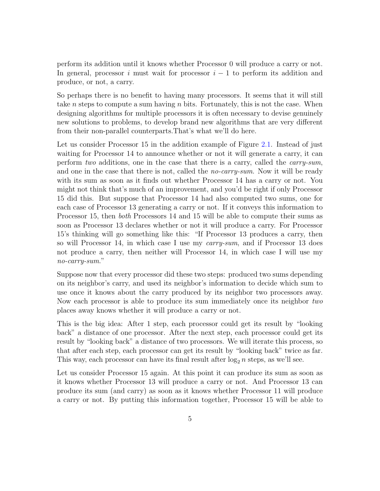perform its addition until it knows whether Processor 0 will produce a carry or not. In general, processor i must wait for processor  $i - 1$  to perform its addition and produce, or not, a carry.

So perhaps there is no benefit to having many processors. It seems that it will still take *n* steps to compute a sum having *n* bits. Fortunately, this is not the case. When designing algorithms for multiple processors it is often necessary to devise genuinely new solutions to problems, to develop brand new algorithms that are very different from their non-parallel counterparts.That's what we'll do here.

Let us consider Processor 15 in the addition example of Figure [2.1.](#page-4-2) Instead of just waiting for Processor 14 to announce whether or not it will generate a carry, it can perform two additions, one in the case that there is a carry, called the carry-sum, and one in the case that there is not, called the *no-carry-sum*. Now it will be ready with its sum as soon as it finds out whether Processor 14 has a carry or not. You might not think that's much of an improvement, and you'd be right if only Processor 15 did this. But suppose that Processor 14 had also computed two sums, one for each case of Processor 13 generating a carry or not. If it conveys this information to Processor 15, then both Processors 14 and 15 will be able to compute their sums as soon as Processor 13 declares whether or not it will produce a carry. For Processor 15's thinking will go something like this: "If Processor 13 produces a carry, then so will Processor 14, in which case I use my *carry-sum*, and if Processor 13 does not produce a carry, then neither will Processor 14, in which case I will use my no-carry-sum."

Suppose now that every processor did these two steps: produced two sums depending on its neighbor's carry, and used its neighbor's information to decide which sum to use once it knows about the carry produced by its neighbor two processors away. Now each processor is able to produce its sum immediately once its neighbor two places away knows whether it will produce a carry or not.

This is the big idea: After 1 step, each processor could get its result by "looking back" a distance of one processor. After the next step, each processor could get its result by "looking back" a distance of two processors. We will iterate this process, so that after each step, each processor can get its result by "looking back" twice as far. This way, each processor can have its final result after  $\log_2 n$  steps, as we'll see.

Let us consider Processor 15 again. At this point it can produce its sum as soon as it knows whether Processor 13 will produce a carry or not. And Processor 13 can produce its sum (and carry) as soon as it knows whether Processor 11 will produce a carry or not. By putting this information together, Processor 15 will be able to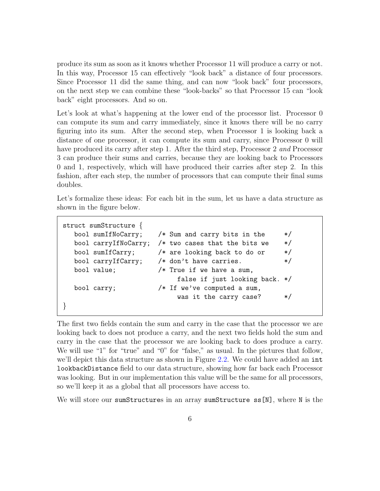produce its sum as soon as it knows whether Processor 11 will produce a carry or not. In this way, Processor 15 can effectively "look back" a distance of four processors. Since Processor 11 did the same thing, and can now "look back" four processors, on the next step we can combine these "look-backs" so that Processor 15 can "look back" eight processors. And so on.

Let's look at what's happening at the lower end of the processor list. Processor 0 can compute its sum and carry immediately, since it knows there will be no carry figuring into its sum. After the second step, when Processor 1 is looking back a distance of one processor, it can compute its sum and carry, since Processor 0 will have produced its carry after step 1. After the third step, Processor 2 and Processor 3 can produce their sums and carries, because they are looking back to Processors 0 and 1, respectively, which will have produced their carries after step 2. In this fashion, after each step, the number of processors that can compute their final sums doubles.

Let's formalize these ideas: For each bit in the sum, let us have a data structure as shown in the figure below.

```
struct sumStructure {
  bool sumIfNoCarry; /* Sum and carry bits in the */
  bool carryIfNoCarry; /* two cases that the bits we */bool sumIfCarry; /* are looking back to do or */
  bool carryIfCarry; /* don't have carries. */
  bool value; /* True if we have a sum,
                          false if just looking back. */
  bool carry; /* If we've computed a sum,
                          was it the carry case? */}
```
The first two fields contain the sum and carry in the case that the processor we are looking back to does not produce a carry, and the next two fields hold the sum and carry in the case that the processor we are looking back to does produce a carry. We will use "1" for "true" and "0" for "false," as usual. In the pictures that follow, we'll depict this data structure as shown in Figure [2.2.](#page-7-1) We could have added an int lookbackDistance field to our data structure, showing how far back each Processor was looking. But in our implementation this value will be the same for all processors, so we'll keep it as a global that all processors have access to.

We will store our sumStructures in an array sumStructure ss[N], where N is the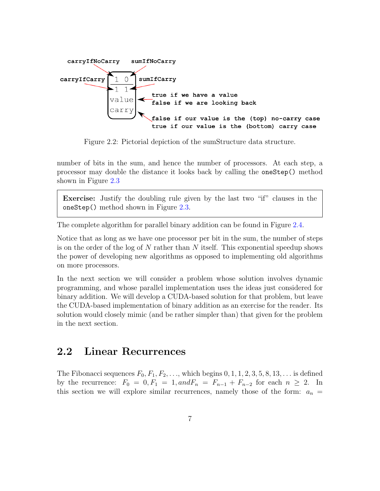

<span id="page-7-1"></span>Figure 2.2: Pictorial depiction of the sumStructure data structure.

number of bits in the sum, and hence the number of processors. At each step, a processor may double the distance it looks back by calling the oneStep() method shown in Figure [2.3](#page-8-0)

Exercise: Justify the doubling rule given by the last two "if" clauses in the oneStep() method shown in Figure [2.3.](#page-8-0)

The complete algorithm for parallel binary addition can be found in Figure [2.4.](#page-9-0)

Notice that as long as we have one processor per bit in the sum, the number of steps is on the order of the log of  $N$  rather than  $N$  itself. This exponential speedup shows the power of developing new algorithms as opposed to implementing old algorithms on more processors.

In the next section we will consider a problem whose solution involves dynamic programming, and whose parallel implementation uses the ideas just considered for binary addition. We will develop a CUDA-based solution for that problem, but leave the CUDA-based implementation of binary addition as an exercise for the reader. Its solution would closely mimic (and be rather simpler than) that given for the problem in the next section.

#### <span id="page-7-0"></span>2.2 Linear Recurrences

The Fibonacci sequences  $F_0, F_1, F_2, \ldots$ , which begins  $0, 1, 1, 2, 3, 5, 8, 13, \ldots$  is defined by the recurrence:  $F_0 = 0, F_1 = 1, and F_n = F_{n-1} + F_{n-2}$  for each  $n \ge 2$ . In this section we will explore similar recurrences, namely those of the form:  $a_n =$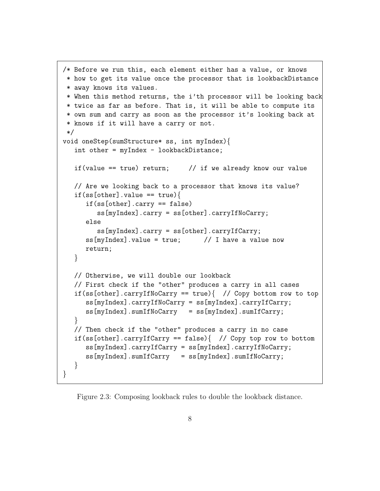```
/* Before we run this, each element either has a value, or knows
 * how to get its value once the processor that is lookbackDistance
 * away knows its values.
* When this method returns, the i'th processor will be looking back
 * twice as far as before. That is, it will be able to compute its
 * own sum and carry as soon as the processor it's looking back at
 * knows if it will have a carry or not.
 */
void oneStep(sumStructure* ss, int myIndex){
   int other = myIndex - lookbackDistance;
   if(value == true) return; \frac{1}{1} if we already know our value
   // Are we looking back to a processor that knows its value?
   if(ss[other].value == true)if(ss[other].carry == false)
         ss[myIndex].carry = ss[other].carryIfNoCarry;
      else
         ss[myIndex].carry = ss[other].carryIfCarry;
      ss[myIndex].value = true; // I have a value now
      return;
   }
   // Otherwise, we will double our lookback
   // First check if the "other" produces a carry in all cases
   if(ss[other].carryIfNoCarry == true){ // Copy bottom row to top
      ss[myIndex].carryIfNoCarry = ss[myIndex].carryIfCarry;
      ss[myIndex].sumIfNoCarry = ss[myIndex].sumIfCarry;
   }
   // Then check if the "other" produces a carry in no case
   if(ss[other].carryIfCarry == false){ // Copy top row to bottom
      ss[myIndex].carryIfCarry = ss[myIndex].carryIfNoCarry;
      ss[myIndex].sumIfCarry = ss[myIndex].sumIfNoCarry;
   }
}
```
<span id="page-8-0"></span>Figure 2.3: Composing lookback rules to double the lookback distance.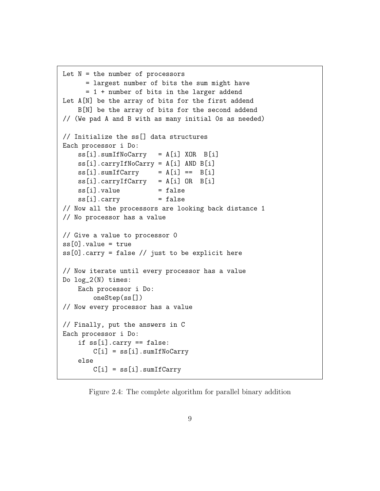```
Let N = the number of processors
      = largest number of bits the sum might have
      = 1 + number of bits in the larger addend
Let A[N] be the array of bits for the first addend
    B[N] be the array of bits for the second addend
// (We pad A and B with as many initial 0s as needed)
// Initialize the ss[] data structures
Each processor i Do:
    ss[i].sumIfNoCarry = A[i] XOR B[i]
    ss[i].carryIfNoCarry = A[i] AND B[i]
    ss[i] .sumIfCarry = A[i] == B[i]ss[i].carryIfCarry = A[i] OR B[i]ss[i].value = false
    ss[i].carry = false// Now all the processors are looking back distance 1
// No processor has a value
// Give a value to processor 0
ss[0].value = true
ss[0].carry = false // just to be explicit here
// Now iterate until every processor has a value
Do log_2(N) times:
    Each processor i Do:
        oneStep(ss[])
// Now every processor has a value
// Finally, put the answers in C
Each processor i Do:
    if ss[i].carry == false:
        C[i] = ss[i] .sumIfNoCarryelse
        C[i] = ss[i] .sumIfCarry
```
<span id="page-9-0"></span>Figure 2.4: The complete algorithm for parallel binary addition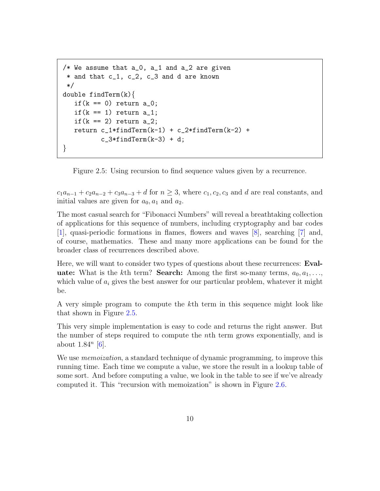```
/* We assume that a_0, a_1 and a_2 are given
 * and that c_1, c_2, c_3 and d are known
 */
double findTerm(k){
   if(k == 0) return a_0;
   if(k == 1) return a_1;
   if(k == 2) return a_2;
   return c_1*findTerm(k-1) + c_2*findTerm(k-2) +c_3*findTerm(k-3) + d;
}
```
<span id="page-10-0"></span>

 $c_1a_{n-1} + c_2a_{n-2} + c_3a_{n-3} + d$  for  $n \geq 3$ , where  $c_1, c_2, c_3$  and d are real constants, and initial values are given for  $a_0$ ,  $a_1$  and  $a_2$ .

The most casual search for "Fibonacci Numbers" will reveal a breathtaking collection of applications for this sequence of numbers, including cryptography and bar codes [\[1\]](#page-42-2), quasi-periodic formations in flames, flowers and waves [\[8\]](#page-42-3), searching [\[7\]](#page-42-4) and, of course, mathematics. These and many more applications can be found for the broader class of recurrences described above.

Here, we will want to consider two types of questions about these recurrences: Eval**uate:** What is the kth term? **Search:** Among the first so-many terms,  $a_0, a_1, \ldots$ , which value of  $a_i$  gives the best answer for our particular problem, whatever it might be.

A very simple program to compute the kth term in this sequence might look like that shown in Figure [2.5.](#page-10-0)

This very simple implementation is easy to code and returns the right answer. But the number of steps required to compute the nth term grows exponentially, and is about  $1.84^n$  [\[6\]](#page-42-5).

We use *memoization*, a standard technique of dynamic programming, to improve this running time. Each time we compute a value, we store the result in a lookup table of some sort. And before computing a value, we look in the table to see if we've already computed it. This "recursion with memoization" is shown in Figure [2.6.](#page-11-1)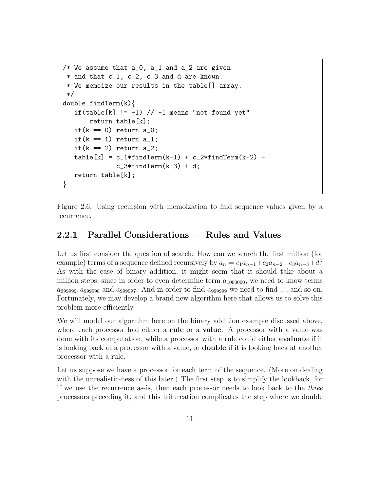```
/* We assume that a_0, a_1 and a_2 are given
 * and that c_1, c_2, c_3 and d are known.
 * We memoize our results in the table[] array.
 */
double findTerm(k){
   if(table[k] != -1) // -1 means "not found yet"
       return table[k];
   if(k == 0) return a_0;
   if(k == 1) return a_1;
   if(k == 2) return a_2;
   table[k] = c_1*findTerm(k-1) + c_2*findTerm(k-2) +c_3*findTerm(k-3) + d;
   return table[k];
}
```
<span id="page-11-1"></span>Figure 2.6: Using recursion with memoization to find sequence values given by a recurrence.

#### <span id="page-11-0"></span>2.2.1 Parallel Considerations — Rules and Values

Let us first consider the question of search: How can we search the first million (for example) terms of a sequence defined recursively by  $a_n = c_1a_{n-1}+c_2a_{n-2}+c_3a_{n-3}+d$ ? As with the case of binary addition, it might seem that it should take about a million steps, since in order to even determine term  $a_{1000000}$ , we need to know terms  $a_{999999}, a_{999998}$  and  $a_{999997}$ . And in order to find  $a_{999999}$  we need to find ..., and so on. Fortunately, we may develop a brand new algorithm here that allows us to solve this problem more efficiently.

We will model our algorithm here on the binary addition example discussed above, where each processor had either a **rule** or a **value**. A processor with a value was done with its computation, while a processor with a rule could either evaluate if it is looking back at a processor with a value, or double if it is looking back at another processor with a rule.

Let us suppose we have a processor for each term of the sequence. (More on dealing with the unrealistic-ness of this later.) The first step is to simplify the lookback, for if we use the recurrence as-is, then each processor needs to look back to the three processors preceding it, and this trifurcation complicates the step where we double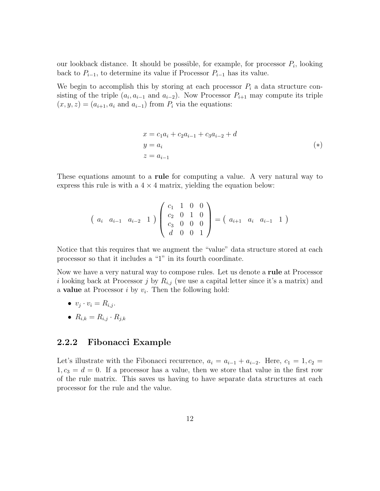our lookback distance. It should be possible, for example, for processor  $P_i$ , looking back to  $P_{i-1}$ , to determine its value if Processor  $P_{i-1}$  has its value.

We begin to accomplish this by storing at each processor  $P_i$  a data structure consisting of the triple  $(a_i, a_{i-1} \text{ and } a_{i-2})$ . Now Processor  $P_{i+1}$  may compute its triple  $(x, y, z) = (a_{i+1}, a_i \text{ and } a_{i-1})$  from  $P_i$  via the equations:

$$
x = c_1 a_i + c_2 a_{i-1} + c_3 a_{i-2} + d
$$
  
\n
$$
y = a_i
$$
  
\n
$$
z = a_{i-1}
$$
\n(\*)

These equations amount to a rule for computing a value. A very natural way to express this rule is with a  $4 \times 4$  matrix, yielding the equation below:

$$
\begin{pmatrix} a_i & a_{i-1} & a_{i-2} & 1 \end{pmatrix} \begin{pmatrix} c_1 & 1 & 0 & 0 \ c_2 & 0 & 1 & 0 \ c_3 & 0 & 0 & 0 \ d & 0 & 0 & 1 \end{pmatrix} = \begin{pmatrix} a_{i+1} & a_i & a_{i-1} & 1 \end{pmatrix}
$$

Notice that this requires that we augment the "value" data structure stored at each processor so that it includes a "1" in its fourth coordinate.

Now we have a very natural way to compose rules. Let us denote a rule at Processor i looking back at Processor j by  $R_{i,j}$  (we use a capital letter since it's a matrix) and a **value** at Processor  $i$  by  $v_i$ . Then the following hold:

$$
\bullet \ \ v_j \cdot v_i = R_{i,j}.
$$

$$
\bullet \ \ R_{i,k} = R_{i,j} \cdot R_{j,k}
$$

#### <span id="page-12-0"></span>2.2.2 Fibonacci Example

Let's illustrate with the Fibonacci recurrence,  $a_i = a_{i-1} + a_{i-2}$ . Here,  $c_1 = 1, c_2 =$  $1, c_3 = d = 0$ . If a processor has a value, then we store that value in the first row of the rule matrix. This saves us having to have separate data structures at each processor for the rule and the value.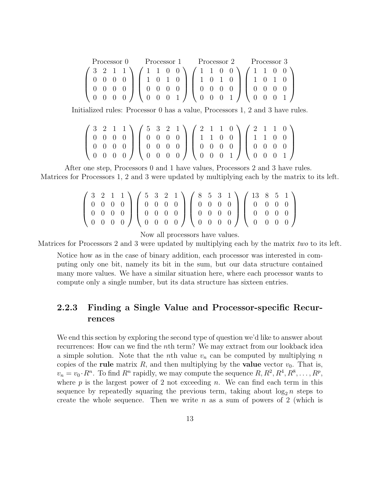| Processor 0 |  |  |  |  | Processor 1 Processor 2 Processor 3 |  |  |  |  |  |  |  |  |  |                                                                                                                                                                                                                                                                                                                                                                                                     |  |  |
|-------------|--|--|--|--|-------------------------------------|--|--|--|--|--|--|--|--|--|-----------------------------------------------------------------------------------------------------------------------------------------------------------------------------------------------------------------------------------------------------------------------------------------------------------------------------------------------------------------------------------------------------|--|--|
|             |  |  |  |  |                                     |  |  |  |  |  |  |  |  |  |                                                                                                                                                                                                                                                                                                                                                                                                     |  |  |
|             |  |  |  |  |                                     |  |  |  |  |  |  |  |  |  |                                                                                                                                                                                                                                                                                                                                                                                                     |  |  |
|             |  |  |  |  |                                     |  |  |  |  |  |  |  |  |  |                                                                                                                                                                                                                                                                                                                                                                                                     |  |  |
|             |  |  |  |  |                                     |  |  |  |  |  |  |  |  |  | $\left(\begin{array}{cccc} 3 & 2 & 1 & 1 \\ 0 & 0 & 0 & 0 \\ 0 & 0 & 0 & 0 \\ 0 & 0 & 0 & 0 \end{array}\right) \left(\begin{array}{cccc} 1 & 1 & 0 & 0 \\ 1 & 0 & 1 & 0 \\ 0 & 0 & 0 & 0 \\ 0 & 0 & 0 & 1 \end{array}\right) \left(\begin{array}{cccc} 1 & 1 & 0 & 0 \\ 1 & 0 & 1 & 0 \\ 0 & 0 & 0 & 0 \\ 0 & 0 & 0 & 1 \end{array}\right) \left(\begin{array}{cccc} 1 & 1 & 0 & 0 \\ 1 & 0 & 1 & $ |  |  |

Initialized rules: Processor 0 has a value, Processors 1, 2 and 3 have rules.

$$
\left(\begin{array}{cccc}3&2&1&1\\0&0&0&0\\0&0&0&0\\0&0&0&0\end{array}\right)\left(\begin{array}{cccc}5&3&2&1\\0&0&0&0\\0&0&0&0\\0&0&0&0\end{array}\right)\left(\begin{array}{cccc}2&1&1&0\\1&1&0&0\\0&0&0&0\\0&0&0&1\end{array}\right)\left(\begin{array}{cccc}2&1&1&0\\1&1&0&0\\0&0&0&0\\0&0&0&1\end{array}\right)
$$

After one step, Processors 0 and 1 have values, Processors 2 and 3 have rules. Matrices for Processors 1, 2 and 3 were updated by multiplying each by the matrix to its left.

$$
\left(\begin{array}{cccc}3&2&1&1\\0&0&0&0\\0&0&0&0\\0&0&0&0\end{array}\right)\left(\begin{array}{cccc}5&3&2&1\\0&0&0&0\\0&0&0&0\\0&0&0&0\end{array}\right)\left(\begin{array}{cccc}8&5&3&1\\0&0&0&0\\0&0&0&0\\0&0&0&0\end{array}\right)\left(\begin{array}{cccc}13&8&5&1\\0&0&0&0\\0&0&0&0\\0&0&0&0\end{array}\right)
$$

Now all processors have values.

Matrices for Processors 2 and 3 were updated by multiplying each by the matrix two to its left.

Notice how as in the case of binary addition, each processor was interested in computing only one bit, namely its bit in the sum, but our data structure contained many more values. We have a similar situation here, where each processor wants to compute only a single number, but its data structure has sixteen entries.

#### <span id="page-13-0"></span>2.2.3 Finding a Single Value and Processor-specific Recurrences

We end this section by exploring the second type of question we'd like to answer about recurrences: How can we find the nth term? We may extract from our lookback idea a simple solution. Note that the *n*th value  $v_n$  can be computed by multiplying *n* copies of the rule matrix  $R$ , and then multiplying by the value vector  $v_0$ . That is,  $v_n = v_0 \cdot R^n$ . To find  $R^n$  rapidly, we may compute the sequence  $R, R^2, R^4, R^8, \ldots, R^p$ , where  $p$  is the largest power of 2 not exceeding  $n$ . We can find each term in this sequence by repeatedly squaring the previous term, taking about  $\log_2 n$  steps to create the whole sequence. Then we write n as a sum of powers of 2 (which is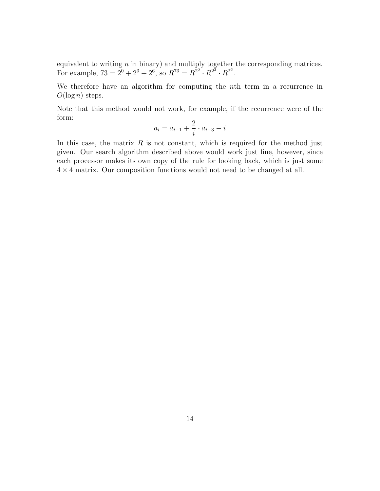equivalent to writing  $n$  in binary) and multiply together the corresponding matrices. For example,  $73 = 2^0 + 2^3 + 2^6$ , so  $R^{73} = R^{2^0} \cdot R^{2^3} \cdot R^{2^6}$ .

We therefore have an algorithm for computing the nth term in a recurrence in  $O(\log n)$  steps.

Note that this method would not work, for example, if the recurrence were of the form:

$$
a_i = a_{i-1} + \frac{2}{i} \cdot a_{i-3} - i
$$

In this case, the matrix  $R$  is not constant, which is required for the method just given. Our search algorithm described above would work just fine, however, since each processor makes its own copy of the rule for looking back, which is just some  $4 \times 4$  matrix. Our composition functions would not need to be changed at all.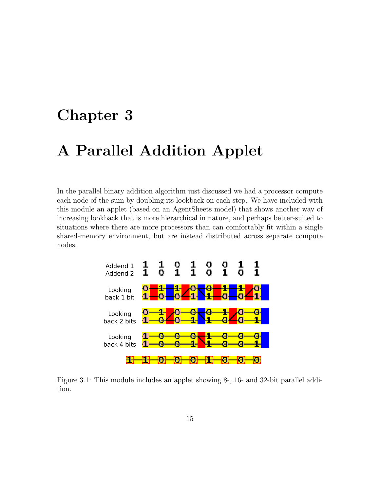### <span id="page-15-0"></span>Chapter 3

### A Parallel Addition Applet

In the parallel binary addition algorithm just discussed we had a processor compute each node of the sum by doubling its lookback on each step. We have included with this module an applet (based on an AgentSheets model) that shows another way of increasing lookback that is more hierarchical in nature, and perhaps better-suited to situations where there are more processors than can comfortably fit within a single shared-memory environment, but are instead distributed across separate compute nodes.



<span id="page-15-1"></span>Figure 3.1: This module includes an applet showing 8-, 16- and 32-bit parallel addition.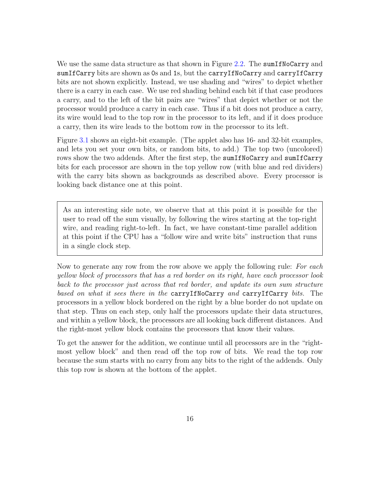We use the same data structure as that shown in Figure [2.2.](#page-7-1) The sum IfNoCarry and sumIfCarry bits are shown as 0s and 1s, but the carryIfNoCarry and carryIfCarry bits are not shown explicitly. Instead, we use shading and "wires" to depict whether there is a carry in each case. We use red shading behind each bit if that case produces a carry, and to the left of the bit pairs are "wires" that depict whether or not the processor would produce a carry in each case. Thus if a bit does not produce a carry, its wire would lead to the top row in the processor to its left, and if it does produce a carry, then its wire leads to the bottom row in the processor to its left.

Figure [3.1](#page-15-1) shows an eight-bit example. (The applet also has 16- and 32-bit examples, and lets you set your own bits, or random bits, to add.) The top two (uncolored) rows show the two addends. After the first step, the sum IfNoCarry and sum IfCarry bits for each processor are shown in the top yellow row (with blue and red dividers) with the carry bits shown as backgrounds as described above. Every processor is looking back distance one at this point.

As an interesting side note, we observe that at this point it is possible for the user to read off the sum visually, by following the wires starting at the top-right wire, and reading right-to-left. In fact, we have constant-time parallel addition at this point if the CPU has a "follow wire and write bits" instruction that runs in a single clock step.

Now to generate any row from the row above we apply the following rule: For each yellow block of processors that has a red border on its right, have each processor look back to the processor just across that red border, and update its own sum structure based on what it sees there in the carryIfNoCarry and carryIfCarry bits. The processors in a yellow block bordered on the right by a blue border do not update on that step. Thus on each step, only half the processors update their data structures, and within a yellow block, the processors are all looking back different distances. And the right-most yellow block contains the processors that know their values.

To get the answer for the addition, we continue until all processors are in the "rightmost yellow block" and then read off the top row of bits. We read the top row because the sum starts with no carry from any bits to the right of the addends. Only this top row is shown at the bottom of the applet.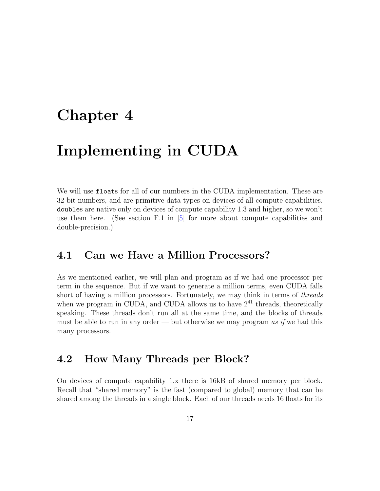### <span id="page-17-0"></span>Chapter 4

### Implementing in CUDA

We will use floats for all of our numbers in the CUDA implementation. These are 32-bit numbers, and are primitive data types on devices of all compute capabilities. doubles are native only on devices of compute capability 1.3 and higher, so we won't use them here. (See section F.1 in [\[5\]](#page-42-0) for more about compute capabilities and double-precision.)

#### <span id="page-17-1"></span>4.1 Can we Have a Million Processors?

As we mentioned earlier, we will plan and program as if we had one processor per term in the sequence. But if we want to generate a million terms, even CUDA falls short of having a million processors. Fortunately, we may think in terms of *threads* when we program in CUDA, and CUDA allows us to have  $2^{41}$  threads, theoretically speaking. These threads don't run all at the same time, and the blocks of threads must be able to run in any order — but otherwise we may program as if we had this many processors.

### <span id="page-17-2"></span>4.2 How Many Threads per Block?

On devices of compute capability 1.x there is 16kB of shared memory per block. Recall that "shared memory" is the fast (compared to global) memory that can be shared among the threads in a single block. Each of our threads needs 16 floats for its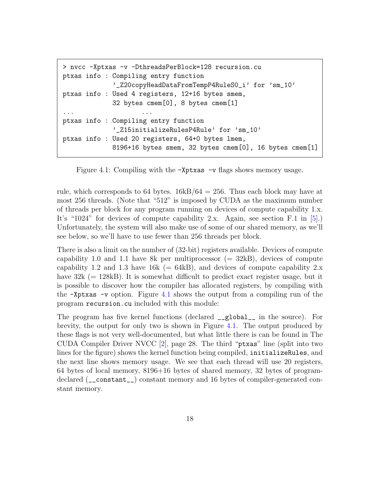```
> nvcc -Xptxas -v -DthreadsPerBlock=128 recursion.cu
ptxas info : Compiling entry function
             '_Z20copyHeadDataFromTempP4RuleS0_i' for 'sm_10'
ptxas info : Used 4 registers, 12+16 bytes smem,
             32 bytes cmem[0], 8 bytes cmem[1]
... ... ... ... ... ... ... ...
ptxas info : Compiling entry function
             '_Z15initializeRulesP4Rule' for 'sm_10'
ptxas info : Used 20 registers, 64+0 bytes lmem,
             8196+16 bytes smem, 32 bytes cmem[0], 16 bytes cmem[1]
```
<span id="page-18-0"></span>Figure 4.1: Compiling with the -Xptxas -v flags shows memory usage.

rule, which corresponds to 64 bytes.  $16kB/64 = 256$ . Thus each block may have at most 256 threads. (Note that "512" is imposed by CUDA as the maximum number of threads per block for any program running on devices of compute capability 1.x. It's "1024" for devices of compute capability 2.x. Again, see section F.1 in [\[5\]](#page-42-0).) Unfortunately, the system will also make use of some of our shared memory, as we'll see below, so we'll have to use fewer than 256 threads per block.

There is also a limit on the number of (32-bit) registers available. Devices of compute capability 1.0 and 1.1 have 8k per multiprocessor  $(= 32kB)$ , devices of compute capability 1.2 and 1.3 have 16k (=  $64kB$ ), and devices of compute capability 2.x have  $32k (= 128kB)$ . It is somewhat difficult to predict exact register usage, but it is possible to discover how the compiler has allocated registers, by compiling with the  $\mathsf{\sim}$  -Xptxas  $\mathsf{\sim}$  option. Figure [4.1](#page-18-0) shows the output from a compiling run of the program recursion.cu included with this module:

The program has five kernel functions (declared \_\_global\_\_ in the source). For brevity, the output for only two is shown in Figure [4.1.](#page-18-0) The output produced by these flags is not very well-documented, but what little there is can be found in The CUDA Compiler Driver NVCC [\[2\]](#page-42-6), page 28. The third "ptxas" line (split into two lines for the figure) shows the kernel function being compiled, initializeRules, and the next line shows memory usage. We see that each thread will use 20 registers, 64 bytes of local memory, 8196+16 bytes of shared memory, 32 bytes of programdeclared (\_\_constant\_\_) constant memory and 16 bytes of compiler-generated constant memory.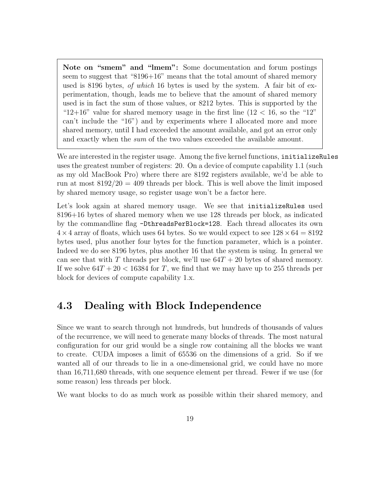Note on "smem" and "lmem": Some documentation and forum postings seem to suggest that "8196+16" means that the total amount of shared memory used is 8196 bytes, *of which* 16 bytes is used by the system. A fair bit of experimentation, though, leads me to believe that the amount of shared memory used is in fact the sum of those values, or 8212 bytes. This is supported by the " $12+16$ " value for shared memory usage in the first line ( $12 < 16$ , so the "12" can't include the "16") and by experiments where I allocated more and more shared memory, until I had exceeded the amount available, and got an error only and exactly when the sum of the two values exceeded the available amount.

We are interested in the register usage. Among the five kernel functions, initializeRules uses the greatest number of registers: 20. On a device of compute capability 1.1 (such as my old MacBook Pro) where there are 8192 registers available, we'd be able to run at most  $8192/20 = 409$  threads per block. This is well above the limit imposed by shared memory usage, so register usage won't be a factor here.

Let's look again at shared memory usage. We see that **initializeRules** used 8196+16 bytes of shared memory when we use 128 threads per block, as indicated by the commandline flag -DthreadsPerBlock=128. Each thread allocates its own  $4 \times 4$  array of floats, which uses 64 bytes. So we would expect to see  $128 \times 64 = 8192$ bytes used, plus another four bytes for the function parameter, which is a pointer. Indeed we do see 8196 bytes, plus another 16 that the system is using. In general we can see that with T threads per block, we'll use  $64T + 20$  bytes of shared memory. If we solve  $64T + 20 < 16384$  for T, we find that we may have up to 255 threads per block for devices of compute capability 1.x.

### <span id="page-19-0"></span>4.3 Dealing with Block Independence

Since we want to search through not hundreds, but hundreds of thousands of values of the recurrence, we will need to generate many blocks of threads. The most natural configuration for our grid would be a single row containing all the blocks we want to create. CUDA imposes a limit of 65536 on the dimensions of a grid. So if we wanted all of our threads to lie in a one-dimensional grid, we could have no more than 16,711,680 threads, with one sequence element per thread. Fewer if we use (for some reason) less threads per block.

We want blocks to do as much work as possible within their shared memory, and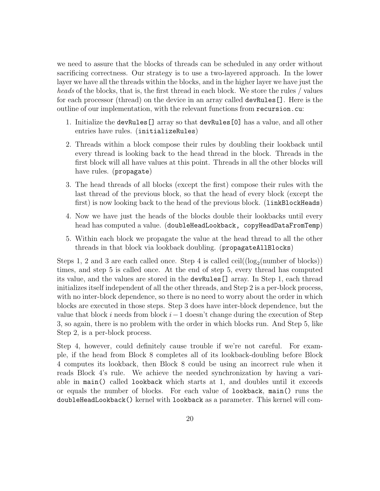we need to assure that the blocks of threads can be scheduled in any order without sacrificing correctness. Our strategy is to use a two-layered approach. In the lower layer we have all the threads within the blocks, and in the higher layer we have just the heads of the blocks, that is, the first thread in each block. We store the rules / values for each processor (thread) on the device in an array called devRules[]. Here is the outline of our implementation, with the relevant functions from recursion.cu:

- 1. Initialize the devRules[] array so that devRules[0] has a value, and all other entries have rules. (initializeRules)
- 2. Threads within a block compose their rules by doubling their lookback until every thread is looking back to the head thread in the block. Threads in the first block will all have values at this point. Threads in all the other blocks will have rules. (propagate)
- 3. The head threads of all blocks (except the first) compose their rules with the last thread of the previous block, so that the head of every block (except the first) is now looking back to the head of the previous block. (linkBlockHeads)
- 4. Now we have just the heads of the blocks double their lookbacks until every head has computed a value. (doubleHeadLookback, copyHeadDataFromTemp)
- 5. Within each block we propagate the value at the head thread to all the other threads in that block via lookback doubling. (propagateAllBlocks)

Steps 1, 2 and 3 are each called once. Step 4 is called  $ceil((log_2(number of blocks)))$ times, and step 5 is called once. At the end of step 5, every thread has computed its value, and the values are stored in the devRules[] array. In Step 1, each thread initializes itself independent of all the other threads, and Step 2 is a per-block process, with no inter-block dependence, so there is no need to worry about the order in which blocks are executed in those steps. Step 3 does have inter-block dependence, but the value that block i needs from block  $i-1$  doesn't change during the execution of Step 3, so again, there is no problem with the order in which blocks run. And Step 5, like Step 2, is a per-block process.

Step 4, however, could definitely cause trouble if we're not careful. For example, if the head from Block 8 completes all of its lookback-doubling before Block 4 computes its lookback, then Block 8 could be using an incorrect rule when it reads Block 4's rule. We achieve the needed synchronization by having a variable in main() called lookback which starts at 1, and doubles until it exceeds or equals the number of blocks. For each value of lookback, main() runs the doubleHeadLookback() kernel with lookback as a parameter. This kernel will com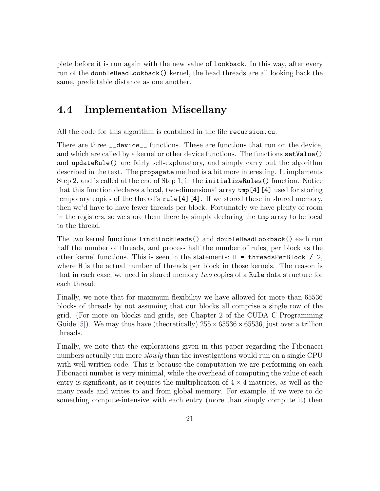plete before it is run again with the new value of lookback. In this way, after every run of the doubleHeadLookback() kernel, the head threads are all looking back the same, predictable distance as one another.

#### <span id="page-21-0"></span>4.4 Implementation Miscellany

All the code for this algorithm is contained in the file recursion.cu.

There are three \_\_device\_\_ functions. These are functions that run on the device, and which are called by a kernel or other device functions. The functions setValue() and updateRule() are fairly self-explanatory, and simply carry out the algorithm described in the text. The propagate method is a bit more interesting. It implements Step 2, and is called at the end of Step 1, in the initializeRules() function. Notice that this function declares a local, two-dimensional array tmp[4][4] used for storing temporary copies of the thread's rule[4][4]. If we stored these in shared memory, then we'd have to have fewer threads per block. Fortunately we have plenty of room in the registers, so we store them there by simply declaring the tmp array to be local to the thread.

The two kernel functions linkBlockHeads() and doubleHeadLookback() each run half the number of threads, and process half the number of rules, per block as the other kernel functions. This is seen in the statements: H = threadsPerBlock / 2, where H is the actual number of threads per block in those kernels. The reason is that in each case, we need in shared memory two copies of a Rule data structure for each thread.

Finally, we note that for maximum flexibility we have allowed for more than 65536 blocks of threads by not assuming that our blocks all comprise a single row of the grid. (For more on blocks and grids, see Chapter 2 of the CUDA C Programming Guide [\[5\]](#page-42-0)). We may thus have (theoretically)  $255 \times 65536 \times 65536$ , just over a trillion threads.

Finally, we note that the explorations given in this paper regarding the Fibonacci numbers actually run more *slowly* than the investigations would run on a single CPU with well-written code. This is because the computation we are performing on each Fibonacci number is very minimal, while the overhead of computing the value of each entry is significant, as it requires the multiplication of  $4 \times 4$  matrices, as well as the many reads and writes to and from global memory. For example, if we were to do something compute-intensive with each entry (more than simply compute it) then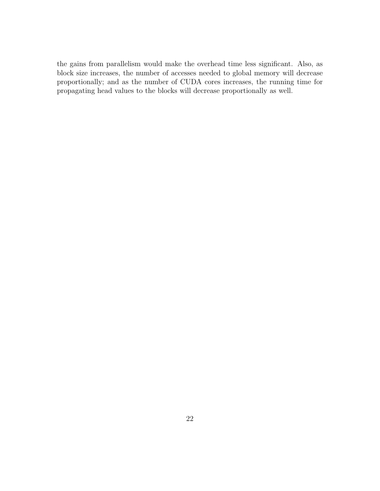the gains from parallelism would make the overhead time less significant. Also, as block size increases, the number of accesses needed to global memory will decrease proportionally; and as the number of CUDA cores increases, the running time for propagating head values to the blocks will decrease proportionally as well.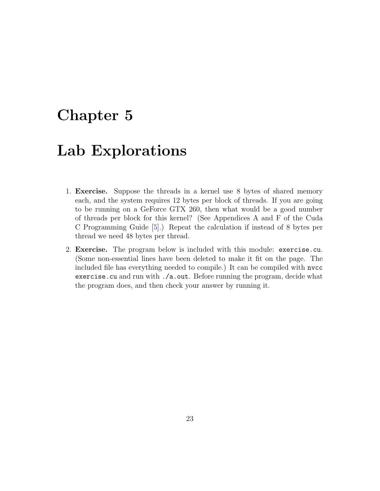### <span id="page-23-0"></span>Chapter 5

### Lab Explorations

- 1. Exercise. Suppose the threads in a kernel use 8 bytes of shared memory each, and the system requires 12 bytes per block of threads. If you are going to be running on a GeForce GTX 260, then what would be a good number of threads per block for this kernel? (See Appendices A and F of the Cuda C Programming Guide [\[5\]](#page-42-0).) Repeat the calculation if instead of 8 bytes per thread we need 48 bytes per thread.
- 2. Exercise. The program below is included with this module: exercise.cu. (Some non-essential lines have been deleted to make it fit on the page. The included file has everything needed to compile.) It can be compiled with nvcc exercise.cu and run with ./a.out. Before running the program, decide what the program does, and then check your answer by running it.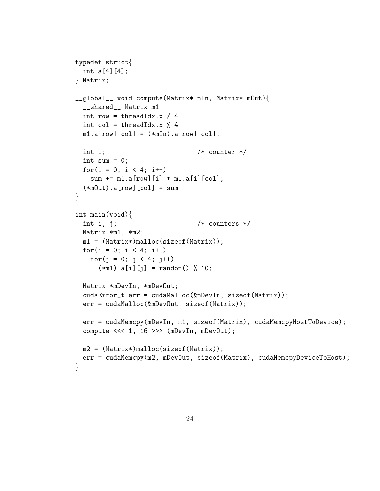```
typedef struct{
  int a[4][4];
} Matrix;
__global__ void compute(Matrix* mIn, Matrix* mOut){
  __shared__ Matrix m1;
 int row = threadIdx.x / 4;
 int col = threadIdx.x \% 4;
 m1.a[row][col] = (*mIn).a[row][col];int i; /* counter */
  int sum = 0;
  for(i = 0; i < 4; i++)sum += m1.a[row][i] * m1.a[i][col];(*mOut).a[row][col] = sum;}
int main(void){
 int i, j; /* counters */Matrix *m1, *m2;m1 = (Matrix*)malloc(sizeof(Matrix));
 for(i = 0; i < 4; i++)for(j = 0; j < 4; j++)(*m1).a[i][j] = random() % 10;Matrix *mDevIn, *mDevOut;
  cudaError_t err = cudaMalloc(&mDevIn, sizeof(Matrix));
  err = cudaMalloc(&mDevOut, sizeof(Matrix));
  err = cudaMemcpy(mDevIn, m1, sizeof(Matrix), cudaMemcpyHostToDevice);
  compute <<< 1, 16 >>> (mDevIn, mDevOut);
 m2 = (Matrix*)malloc(sizeof(Matrix));
  err = cudaMemcpy(m2, mDevOut, sizeof(Matrix), cudaMemcpyDeviceToHost);
}
```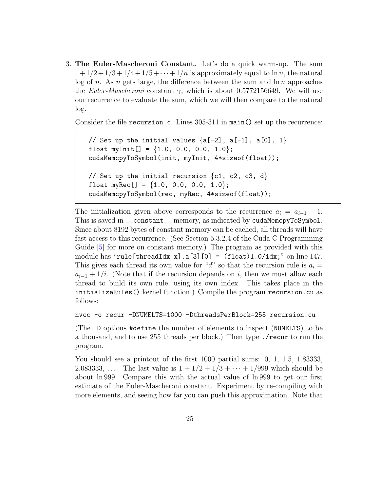3. The Euler-Mascheroni Constant. Let's do a quick warm-up. The sum  $1+1/2+1/3+1/4+1/5+\cdots+1/n$  is approximately equal to ln n, the natural log of n. As n gets large, the difference between the sum and  $\ln n$  approaches the Euler-Mascheroni constant  $\gamma$ , which is about 0.5772156649. We will use our recurrence to evaluate the sum, which we will then compare to the natural log.

Consider the file recursion.c. Lines 305-311 in main() set up the recurrence:

```
// Set up the initial values \{a[-2], a[-1], a[0], 1\}float myInit[] = \{1.0, 0.0, 0.0, 1.0\};
cudaMemcpyToSymbol(init, myInit, 4*sizeof(float));
// Set up the initial recursion \{c1, c2, c3, d\}float myRec[] = \{1.0, 0.0, 0.0, 1.0\};cudaMemcpyToSymbol(rec, myRec, 4*sizeof(float));
```
The initialization given above corresponds to the recurrence  $a_i = a_{i-1} + 1$ . This is saved in \_\_constant\_\_ memory, as indicated by cudaMemcpyToSymbol. Since about 8192 bytes of constant memory can be cached, all threads will have fast access to this recurrence. (See Section 5.3.2.4 of the Cuda C Programming Guide [\[5\]](#page-42-0) for more on constant memory.) The program as provided with this module has "rule[threadIdx.x].a[3][0] =  $(f$ loat)1.0/idx;" on line 147. This gives each thread its own value for "d" so that the recursion rule is  $a_i =$  $a_{i-1} + 1/i$ . (Note that if the recursion depends on i, then we must allow each thread to build its own rule, using its own index. This takes place in the initializeRules() kernel function.) Compile the program recursion.cu as follows:

```
nvcc -o recur -DNUMELTS=1000 -DthreadsPerBlock=255 recursion.cu
```
(The -D options #define the number of elements to inspect (NUMELTS) to be a thousand, and to use 255 threads per block.) Then type ./recur to run the program.

You should see a printout of the first 1000 partial sums: 0, 1, 1.5, 1.83333, 2.083333, .... The last value is  $1 + 1/2 + 1/3 + \cdots + 1/999$  which should be about ln 999. Compare this with the actual value of ln 999 to get our first estimate of the Euler-Mascheroni constant. Experiment by re-compiling with more elements, and seeing how far you can push this approximation. Note that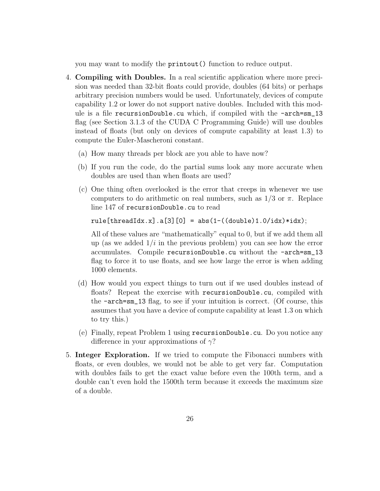you may want to modify the printout() function to reduce output.

- 4. Compiling with Doubles. In a real scientific application where more precision was needed than 32-bit floats could provide, doubles (64 bits) or perhaps arbitrary precision numbers would be used. Unfortunately, devices of compute capability 1.2 or lower do not support native doubles. Included with this module is a file recursionDouble.cu which, if compiled with the -arch=sm\_13 flag (see Section 3.1.3 of the CUDA C Programming Guide) will use doubles instead of floats (but only on devices of compute capability at least 1.3) to compute the Euler-Mascheroni constant.
	- (a) How many threads per block are you able to have now?
	- (b) If you run the code, do the partial sums look any more accurate when doubles are used than when floats are used?
	- (c) One thing often overlooked is the error that creeps in whenever we use computers to do arithmetic on real numbers, such as  $1/3$  or  $\pi$ . Replace line 147 of recursionDouble.cu to read

rule[threadIdx.x].a[3][0] = abs(1-((double)1.0/idx)\*idx);

All of these values are "mathematically" equal to 0, but if we add them all up (as we added  $1/i$  in the previous problem) you can see how the error accumulates. Compile recursionDouble.cu without the -arch=sm\_13 flag to force it to use floats, and see how large the error is when adding 1000 elements.

- (d) How would you expect things to turn out if we used doubles instead of floats? Repeat the exercise with recursionDouble.cu, compiled with the -arch=sm\_13 flag, to see if your intuition is correct. (Of course, this assumes that you have a device of compute capability at least 1.3 on which to try this.)
- (e) Finally, repeat Problem 1 using recursionDouble.cu. Do you notice any difference in your approximations of  $\gamma$ ?
- 5. Integer Exploration. If we tried to compute the Fibonacci numbers with floats, or even doubles, we would not be able to get very far. Computation with doubles fails to get the exact value before even the 100th term, and a double can't even hold the 1500th term because it exceeds the maximum size of a double.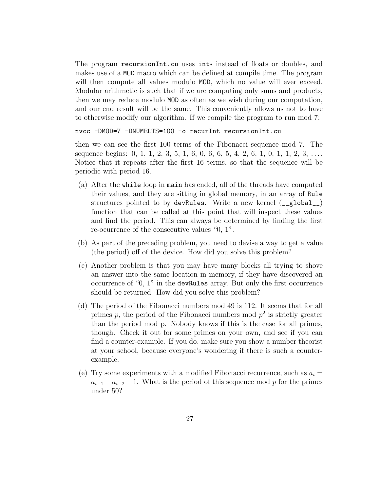The program recursionInt.cu uses ints instead of floats or doubles, and makes use of a MOD macro which can be defined at compile time. The program will then compute all values modulo MOD, which no value will ever exceed. Modular arithmetic is such that if we are computing only sums and products, then we may reduce modulo MOD as often as we wish during our computation, and our end result will be the same. This conveniently allows us not to have to otherwise modify our algorithm. If we compile the program to run mod 7:

```
nvcc -DMOD=7 -DNUMELTS=100 -o recurInt recursionInt.cu
```
then we can see the first 100 terms of the Fibonacci sequence mod 7. The sequence begins:  $0, 1, 1, 2, 3, 5, 1, 6, 0, 6, 6, 5, 4, 2, 6, 1, 0, 1, 1, 2, 3, \ldots$ Notice that it repeats after the first 16 terms, so that the sequence will be periodic with period 16.

- (a) After the while loop in main has ended, all of the threads have computed their values, and they are sitting in global memory, in an array of Rule structures pointed to by devRules. Write a new kernel (\_\_global\_\_) function that can be called at this point that will inspect these values and find the period. This can always be determined by finding the first re-ocurrence of the consecutive values "0, 1".
- (b) As part of the preceding problem, you need to devise a way to get a value (the period) off of the device. How did you solve this problem?
- (c) Another problem is that you may have many blocks all trying to shove an answer into the same location in memory, if they have discovered an occurrence of "0, 1" in the devRules array. But only the first occurrence should be returned. How did you solve this problem?
- (d) The period of the Fibonacci numbers mod 49 is 112. It seems that for all primes p, the period of the Fibonacci numbers mod  $p^2$  is strictly greater than the period mod p. Nobody knows if this is the case for all primes, though. Check it out for some primes on your own, and see if you can find a counter-example. If you do, make sure you show a number theorist at your school, because everyone's wondering if there is such a counterexample.
- (e) Try some experiments with a modified Fibonacci recurrence, such as  $a_i =$  $a_{i-1} + a_{i-2} + 1$ . What is the period of this sequence mod p for the primes under 50?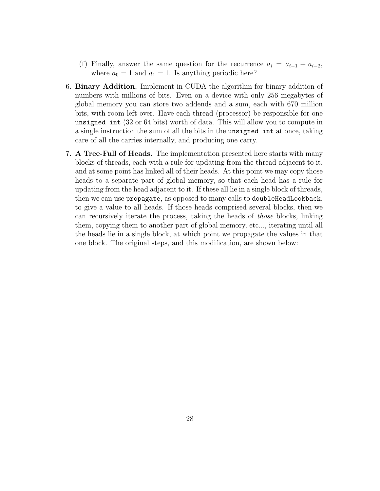- (f) Finally, answer the same question for the recurrence  $a_i = a_{i-1} + a_{i-2}$ , where  $a_0 = 1$  and  $a_1 = 1$ . Is anything periodic here?
- 6. Binary Addition. Implement in CUDA the algorithm for binary addition of numbers with millions of bits. Even on a device with only 256 megabytes of global memory you can store two addends and a sum, each with 670 million bits, with room left over. Have each thread (processor) be responsible for one unsigned int (32 or 64 bits) worth of data. This will allow you to compute in a single instruction the sum of all the bits in the unsigned int at once, taking care of all the carries internally, and producing one carry.
- 7. A Tree-Full of Heads. The implementation presented here starts with many blocks of threads, each with a rule for updating from the thread adjacent to it, and at some point has linked all of their heads. At this point we may copy those heads to a separate part of global memory, so that each head has a rule for updating from the head adjacent to it. If these all lie in a single block of threads, then we can use propagate, as opposed to many calls to doubleHeadLookback, to give a value to all heads. If those heads comprised several blocks, then we can recursively iterate the process, taking the heads of those blocks, linking them, copying them to another part of global memory, etc..., iterating until all the heads lie in a single block, at which point we propagate the values in that one block. The original steps, and this modification, are shown below: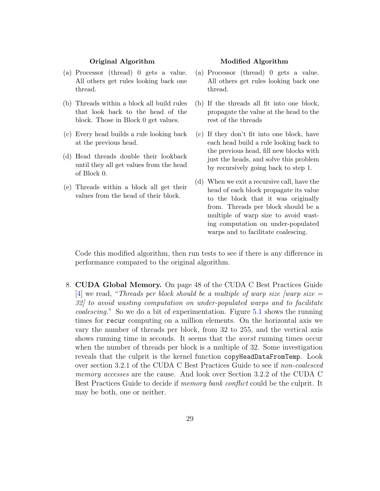#### Original Algorithm

- (a) Processor (thread) 0 gets a value. All others get rules looking back one thread.
- (b) Threads within a block all build rules that look back to the head of the block. Those in Block 0 get values.
- (c) Every head builds a rule looking back at the previous head.
- (d) Head threads double their lookback until they all get values from the head of Block 0.
- (e) Threads within a block all get their values from the head of their block.

#### Modified Algorithm

- (a) Processor (thread) 0 gets a value. All others get rules looking back one thread.
- (b) If the threads all fit into one block, propagate the value at the head to the rest of the threads
- (c) If they don't fit into one block, have each head build a rule looking back to the previous head, fill new blocks with just the heads, and solve this problem by recursively going back to step 1.
- (d) When we exit a recursive call, have the head of each block propagate its value to the block that it was originally from. Threads per block should be a multiple of warp size to avoid wasting computation on under-populated warps and to facilitate coalescing.

Code this modified algorithm, then run tests to see if there is any difference in performance compared to the original algorithm.

8. CUDA Global Memory. On page 48 of the CUDA C Best Practices Guide [\[4\]](#page-42-7) we read, "Threads per block should be a multiple of warp size  $[warp]$  size = 32] to avoid wasting computation on under-populated warps and to facilitate coalescing." So we do a bit of experimentation. Figure [5.1](#page-30-0) shows the running times for recur computing on a million elements. On the horizontal axis we vary the number of threads per block, from 32 to 255, and the vertical axis shows running time in seconds. It seems that the *worst* running times occur when the number of threads per block is a multiple of 32. Some investigation reveals that the culprit is the kernel function copyHeadDataFromTemp. Look over section 3.2.1 of the CUDA C Best Practices Guide to see if non-coalesced memory accesses are the cause. And look over Section 3.2.2 of the CUDA C Best Practices Guide to decide if memory bank conflict could be the culprit. It may be both, one or neither.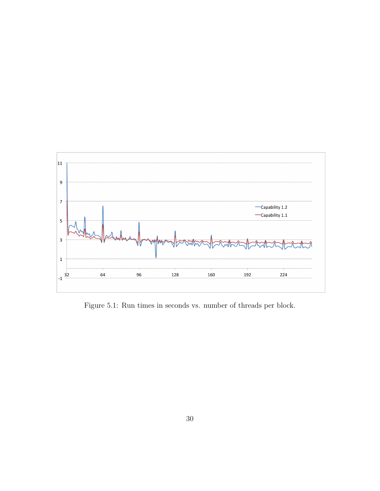

<span id="page-30-0"></span>Figure 5.1: Run times in seconds vs. number of threads per block.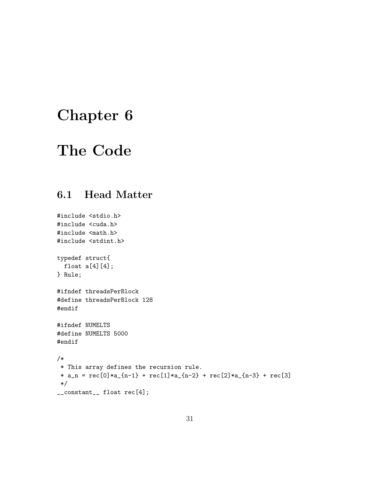# <span id="page-31-0"></span>Chapter 6

### The Code

### <span id="page-31-1"></span>6.1 Head Matter

```
#include <stdio.h>
#include <cuda.h>
#include <math.h>
#include <stdint.h>
typedef struct{
  float a[4][4];
} Rule;
#ifndef threadsPerBlock
#define threadsPerBlock 128
#endif
#ifndef NUMELTS
#define NUMELTS 5000
#endif
/*
 * This array defines the recursion rule.
 * a_n = \text{rec}[0]*a_{n-1} + \text{rec}[1]*a_{n-2} + \text{rec}[2]*a_{n-3} + \text{rec}[3]*/
__constant__ float rec[4];
```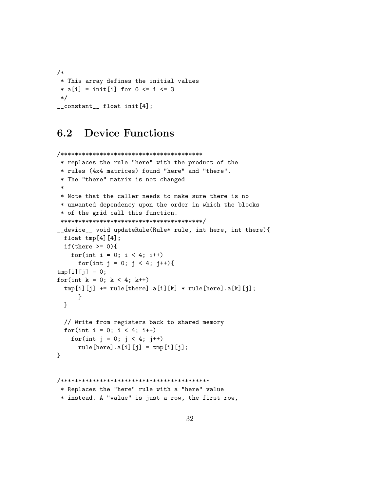```
/*
 * This array defines the initial values
 * a[i] = init[i] for 0 <= i <= 3
 */
__constant__ float init[4];
```
### <span id="page-32-0"></span>6.2 Device Functions

```
/****************************************
* replaces the rule "here" with the product of the
* rules (4x4 matrices) found "here" and "there".
 * The "there" matrix is not changed
 *
* Note that the caller needs to make sure there is no
 * unwanted dependency upon the order in which the blocks
* of the grid call this function.
 ****************************************/
__device__ void updateRule(Rule* rule, int here, int there){
 float tmp[4][4];if(there >= 0){
   for(int i = 0; i < 4; i++)for(int j = 0; j < 4; j++){
tmp[i][j] = 0;for(int k = 0; k < 4; k++)tmp[i][j] += rule[there].a[i][k] * rule[here].a[k]}
 }
 // Write from registers back to shared memory
 for(int i = 0; i < 4; i++)for(int j = 0; j < 4; j++)rule[here].a[i][j] = tmp[i][j];}
```

```
/******************************************
 * Replaces the "here" rule with a "here" value
 * instead. A "value" is just a row, the first row,
```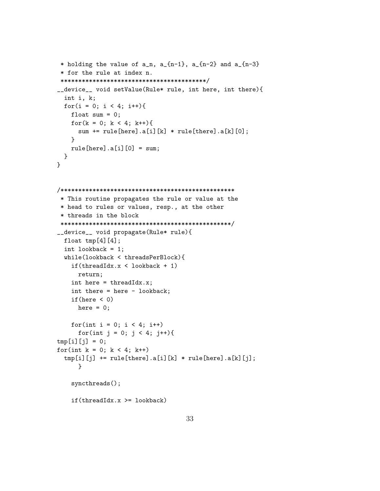```
* holding the value of a_n, a_{n-1}, a_{n-2} and a_{n-3}* for the rule at index n.
 *****************************************/
__device__ void setValue(Rule* rule, int here, int there){
  int i, k;
 for(i = 0; i < 4; i++){
   float sum = 0;
   for(k = 0; k < 4; k++){
      sum += rule[here].a[i][k] * rule[there].a[k][0];
   }
   rule[here].a[i][0] = sum;}
}
/*************************************************
 * This routine propagates the rule or value at the
 * head to rules or values, resp., at the other
 * threads in the block
 ************************************************/
__device__ void propagate(Rule* rule){
 float tmp[4][4];int lookback = 1;
 while(lookback < threadsPerBlock){
    if(threadIdx.x < lookback + 1)
     return;
   int here = threadIdx.x;
    int there = here - lookback;
   if(here \leq 0)
     here = 0;
   for(int i = 0; i < 4; i++)for(int j = 0; j < 4; j++){
tmp[i][i] = 0;for(int k = 0; k < 4; k++)
  tmp[i][j] += rule[there].a[i][k] * rule[here].a[k]}
   syncthreads();
   if(threadIdx.x >= lookback)
```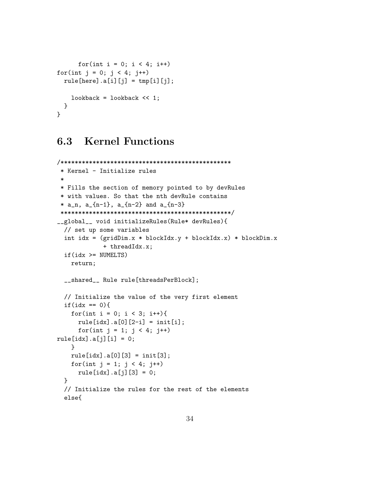```
for(int i = 0; i < 4; i++)for(int j = 0; j < 4; j++)rule[here].a[i][j] = tmp[i][j];lookback = lookback << 1;
 }
}
```
### <span id="page-34-0"></span>6.3 Kernel Functions

```
/************************************************
 * Kernel - Initialize rules
 *
* Fills the section of memory pointed to by devRules
 * with values. So that the nth devRule contains
 * a_n, a_{n-1}, a_{n-2} and a_{n-3}************************************************/
__global__ void initializeRules(Rule* devRules){
 // set up some variables
 int idx = (gridDim.x * blockIdx.y + blockIdx.x) * blockDim.x
            + threadIdx.x;
  if(idx >= NUMELTS)
   return;
  __shared__ Rule rule[threadsPerBlock];
 // Initialize the value of the very first element
 if(idx == 0)for(int i = 0; i < 3; i++){
     rule[idx].a[0][2-i] = init[i];for(int j = 1; j < 4; j++)rule[idx].a[j][i] = 0;}
   rule[idx].a[0][3] = init[3];for(int j = 1; j < 4; j++)rule[idx].a[j][3] = 0;
 }
  // Initialize the rules for the rest of the elements
  else{
```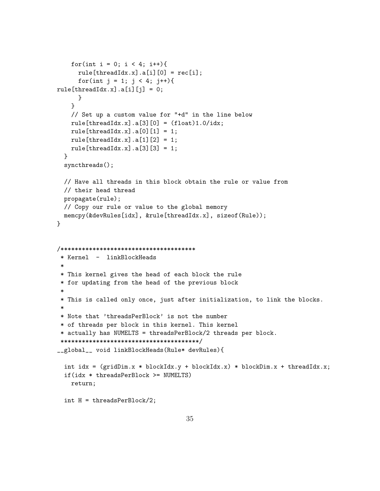```
for(int i = 0; i < 4; i++){
     rule[threadIdx.x].a[i][0] = rec[i];for(int j = 1; j < 4; j++){
rule[threadIdx.x].a[i][j] = 0;
     }
   }
   // Set up a custom value for "+d" in the line below
   rule[threadIdx.x].a[3][0] = (float)1.0/idx;rule[threadIdx.x].a[0][1] = 1;
   rule[threadIdx.x].a[1][2] = 1;
   rule[threadIdx.x].a[3][3] = 1;
 }
 syncthreads();
 // Have all threads in this block obtain the rule or value from
 // their head thread
 propagate(rule);
 // Copy our rule or value to the global memory
 memcpy(&devRules[idx], &rule[threadIdx.x], sizeof(Rule));
}
/**************************************
 * Kernel - linkBlockHeads
 *
* This kernel gives the head of each block the rule
* for updating from the head of the previous block
 *
* This is called only once, just after initialization, to link the blocks.
 *
 * Note that 'threadsPerBlock' is not the number
* of threads per block in this kernel. This kernel
 * actually has NUMELTS = threadsPerBlock/2 threads per block.
 ***************************************/
__global__ void linkBlockHeads(Rule* devRules){
 int idx = (gridDim.x * blockIdx.y + blockIdx.x) * blockDim.x + threadIdx.x;if(idx * threadsPerBlock >= NUMELTS)
   return;
 int H = threadsPerBlock/2;
```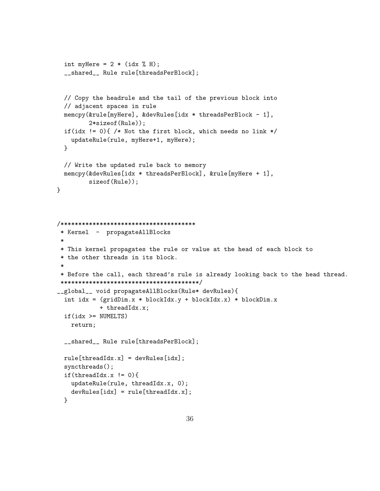```
int myHere = 2 * (idx % H);__shared__ Rule rule[threadsPerBlock];
 // Copy the headrule and the tail of the previous block into
 // adjacent spaces in rule
 memcpy(&rule[myHere], &devRules[idx * threadsPerBlock - 1],
         2*sizeof(Rule));
 if(idx != 0){ /* Not the first block, which needs no link */updateRule(rule, myHere+1, myHere);
 }
 // Write the updated rule back to memory
 memcpy(&devRules[idx * threadsPerBlock], &rule[myHere + 1],
         sizeof(Rule));
}
/**************************************
 * Kernel - propagateAllBlocks
 *
* This kernel propagates the rule or value at the head of each block to
 * the other threads in its block.
 *
 * Before the call, each thread's rule is already looking back to the head thread.
 ***************************************/
__global__ void propagateAllBlocks(Rule* devRules){
  int idx = (gridDim.x * blockIdx.y + blockIdx.x) * blockDim.x+ threadIdx.x;
 if(idx >= NUMELTS)
   return;
 __shared__ Rule rule[threadsPerBlock];
 rule[threadIdx.x] = devRules[idx];syncthreads();
 if(threadIdx.x != 0){
   updateRule(rule, threadIdx.x, 0);
   devRules[idx] = rule[threadIdx.x];}
```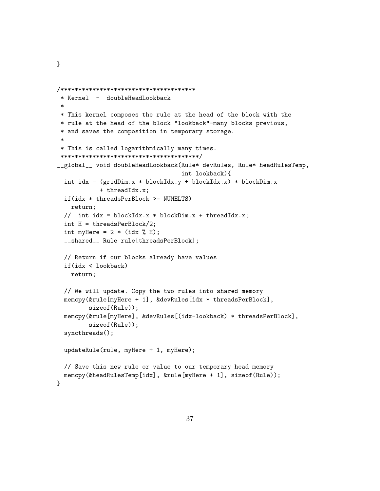```
/**************************************
 * Kernel - doubleHeadLookback
 *
* This kernel composes the rule at the head of the block with the
 * rule at the head of the block "lookback"-many blocks previous,
* and saves the composition in temporary storage.
 *
* This is called logarithmically many times.
***************************************/
__global__ void doubleHeadLookback(Rule* devRules, Rule* headRulesTemp,
                                   int lookback){
 int idx = (gridDim.x * blockIdx.y + blockIdx.x) * blockDim.x+ threadIdx.x;
 if(idx * threadsPerBlock >= NUMELTS)
   return;
 // int idx = blockIdx.x * blockDim.x + threadIdx.x;
 int H = threadsPerBlock/2;
 int myHere = 2 * (idx % H);__shared__ Rule rule[threadsPerBlock];
 // Return if our blocks already have values
 if(idx < lookback)
   return;
 // We will update. Copy the two rules into shared memory
 memcpy(&rule[myHere + 1], &devRules[idx * threadsPerBlock],
         sizeof(Rule));
 memcpy(&rule[myHere], &devRules[(idx-lookback) * threadsPerBlock],
         sizeof(Rule));
 syncthreads();
 updateRule(rule, myHere + 1, myHere);
 // Save this new rule or value to our temporary head memory
 memcpy(&headRulesTemp[idx], &rule[myHere + 1], sizeof(Rule));
}
```
}

```
37
```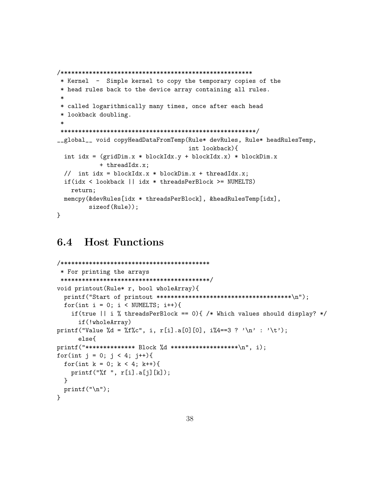```
/******************************************************
 * Kernel - Simple kernel to copy the temporary copies of the
 * head rules back to the device array containing all rules.
 *
 * called logarithmically many times, once after each head
 * lookback doubling.
 *
*******************************************************/
__global__ void copyHeadDataFromTemp(Rule* devRules, Rule* headRulesTemp,
                                     int lookback){
 int idx = (gridDim.x * blockIdx.y + blockIdx.x) * blockDim.x+ threadIdx.x;
 // int idx = blockIdx.x * blockDim.x + threadIdx.x;
 if(idx < lookback || idx * threadsPerBlock >= NUMELTS)
   return;
 memcpy(&devRules[idx * threadsPerBlock], &headRulesTemp[idx],
         sizeof(Rule));
}
```
### <span id="page-38-0"></span>6.4 Host Functions

```
/******************************************
 * For printing the arrays
 ******************************************/
void printout(Rule* r, bool wholeArray){
  printf("Start of printout **************************************\n");
  for(int i = 0; i < NUMELTS; i++){
    if(true || i \n% threadsPerBlock == 0){ /* Which values should display? */
      if(!wholeArray)
printf("Value %d = %f%c", i, r[i].a[0][0], i%4==3 ? '\n' : '\t');
      else{
printf("**************** +  \, \text{Block } %d **********************)n", i);for(int j = 0; j < 4; j++){
  for(int k = 0; k < 4; k++){
    printf("%f ", r[i].a[j][k]);
  }
  printf("\ln");
}
```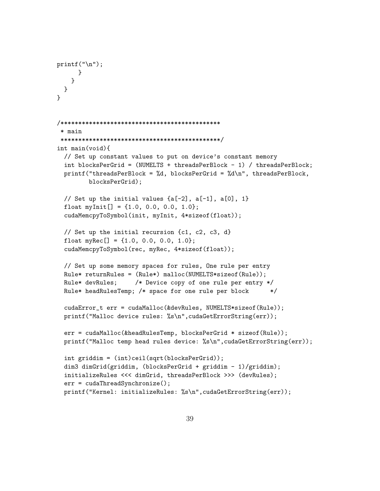```
print(''\n';
      }
    }
 }
}
/*********************************************
 * main
 *********************************************/
int main(void){
  // Set up constant values to put on device's constant memory
  int blocksPerGrid = (NUMELTS + threadsPerBlock - 1) / threadsPerBlock;
  printf("threadsPerBlock = %d, blocksPerGrid = %d\n", threadsPerBlock,
         blocksPerGrid);
  // Set up the initial values \{a[-2], a[-1], a[0], 1\}float myInit[] = \{1.0, 0.0, 0.0, 1.0\};
  cudaMemcpyToSymbol(init, myInit, 4*sizeof(float));
  // Set up the initial recursion {c1, c2, c3, d}
  float myRec[] = \{1.0, 0.0, 0.0, 1.0\};cudaMemcpyToSymbol(rec, myRec, 4*sizeof(float));
  // Set up some memory spaces for rules, One rule per entry
  Rule* returnRules = (Rule*) malloc(NUMELTS*sizeof(Rule));
  Rule* devRules; /* Device copy of one rule per entry */
  Rule* headRulesTemp; /* space for one rule per block */
  cudaError_t err = cudaMalloc(&devRules, NUMELTS*sizeof(Rule));
  printf("Malloc device rules: %s\n",cudaGetErrorString(err));
  err = cudaMalloc(&headRulesTemp, blocksPerGrid * sizeof(Rule));
  printf("Malloc temp head rules device: %s\n",cudaGetErrorString(err));
  int griddim = (int)ceil(sqrt(blocksPerGrid));
  dim3 dimGrid(griddim, (blocksPerGrid + griddim - 1)/griddim);
  initializeRules <<< dimGrid, threadsPerBlock >>> (devRules);
  err = cudaThreadSynchronize();
  printf("Kernel: initializeRules: %s\n",cudaGetErrorString(err));
```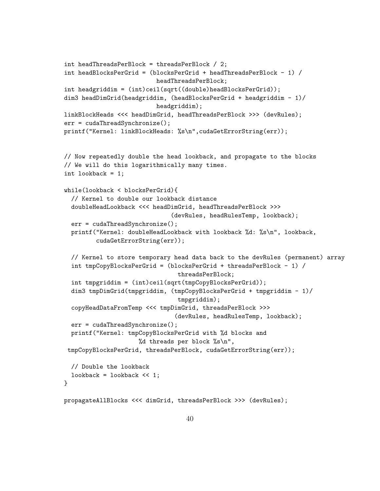```
int headThreadsPerBlock = threadsPerBlock / 2;
int headBlocksPerGrid = (blocksPerGrid + headThreadsPerBlock - 1) /
                          headThreadsPerBlock;
int headgriddim = (int)ceil(sqrt((double)headBlocksPerGrid));
dim3 headDimGrid(headgriddim, (headBlocksPerGrid + headgriddim - 1)/
                          headgriddim);
linkBlockHeads <<< headDimGrid, headThreadsPerBlock >>> (devRules);
err = cudaThreadSynchronize();
printf("Kernel: linkBlockHeads: %s\n",cudaGetErrorString(err));
// Now repeatedly double the head lookback, and propagate to the blocks
// We will do this logarithmically many times.
int lookback = 1;
while(lookback < blocksPerGrid){
  // Kernel to double our lookback distance
  doubleHeadLookback <<< headDimGrid, headThreadsPerBlock >>>
                              (devRules, headRulesTemp, lookback);
  err = cudaThreadSynchronize();
  printf("Kernel: doubleHeadLookback with lookback %d: %s\n", lookback,
         cudaGetErrorString(err));
  // Kernel to store temporary head data back to the devRules (permanent) array
  int tmpCopyBlocksPerGrid = (blocksPerGrid + threadsPerBlock - 1) /
                                threadsPerBlock;
  int tmpgriddim = (int)ceil(sqrt(tmpCopyBlocksPerGrid));
  dim3 tmpDimGrid(tmpgriddim, (tmpCopyBlocksPerGrid + tmpgriddim - 1)/
                                tmpgriddim);
  copyHeadDataFromTemp <<< tmpDimGrid, threadsPerBlock >>>
                                (devRules, headRulesTemp, lookback);
  err = cudaThreadSynchronize();
  printf("Kernel: tmpCopyBlocksPerGrid with %d blocks and
                     %d threads per block \sqrt{\text{s}}\n,
 tmpCopyBlocksPerGrid, threadsPerBlock, cudaGetErrorString(err));
  // Double the lookback
  lookback = lookback << 1;
}
propagateAllBlocks <<< dimGrid, threadsPerBlock >>> (devRules);
```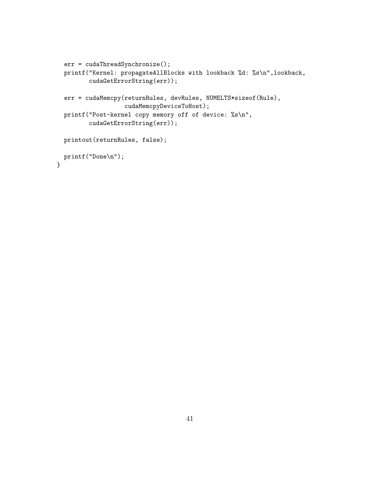```
err = cudaThreadSynchronize();
 printf("Kernel: propagateAllBlocks with lookback %d: %s\n",lookback,
         cudaGetErrorString(err));
 err = cudaMemcpy(returnRules, devRules, NUMELTS*sizeof(Rule),
                  cudaMemcpyDeviceToHost);
 printf("Post-kernel copy memory off of device: %s\n",
        cudaGetErrorString(err));
 printout(returnRules, false);
 printf("Done\n");
}
```